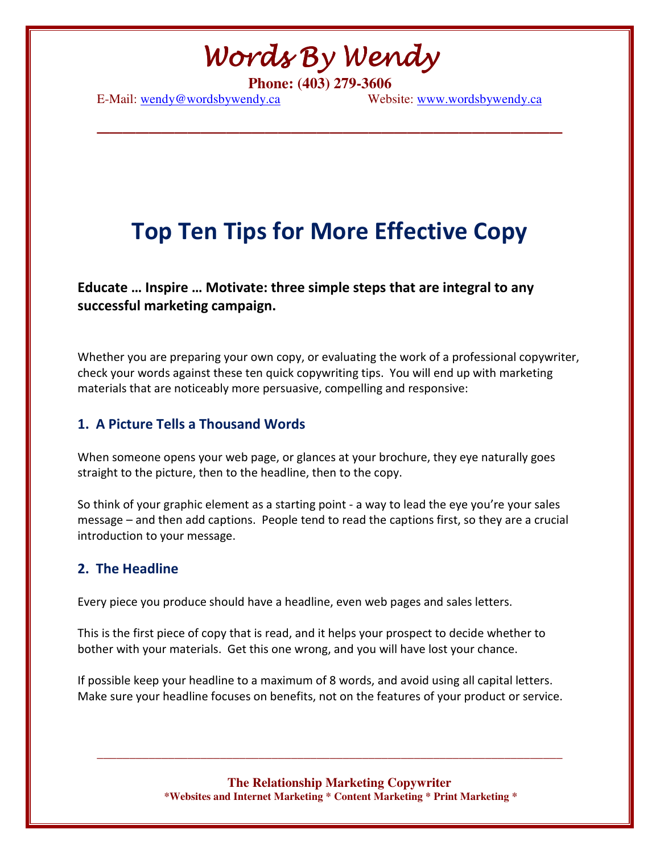Words By Wendy

**\_\_\_\_\_\_\_\_\_\_\_\_\_\_\_\_\_\_\_\_\_\_\_\_\_\_\_\_\_\_\_\_\_\_\_\_** 

**Phone: (403) 279-3606** 

E-Mail: wendy@wordsbywendy.ca Website: www.wordsbywendy.ca

### Top Ten Tips for More Effective Copy

Educate … Inspire … Motivate: three simple steps that are integral to any successful marketing campaign.

Whether you are preparing your own copy, or evaluating the work of a professional copywriter, check your words against these ten quick copywriting tips. You will end up with marketing materials that are noticeably more persuasive, compelling and responsive:

#### 1. A Picture Tells a Thousand Words

When someone opens your web page, or glances at your brochure, they eye naturally goes straight to the picture, then to the headline, then to the copy.

So think of your graphic element as a starting point - a way to lead the eye you're your sales message – and then add captions. People tend to read the captions first, so they are a crucial introduction to your message.

#### 2. The Headline

Every piece you produce should have a headline, even web pages and sales letters.

This is the first piece of copy that is read, and it helps your prospect to decide whether to bother with your materials. Get this one wrong, and you will have lost your chance.

If possible keep your headline to a maximum of 8 words, and avoid using all capital letters. Make sure your headline focuses on benefits, not on the features of your product or service.

> **The Relationship Marketing Copywriter \*Websites and Internet Marketing \* Content Marketing \* Print Marketing \***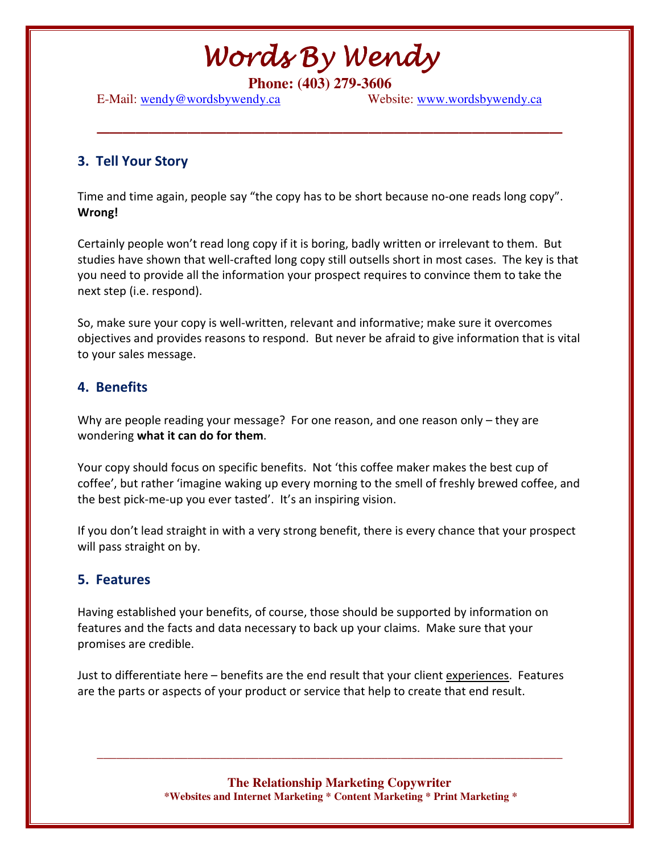**\_\_\_\_\_\_\_\_\_\_\_\_\_\_\_\_\_\_\_\_\_\_\_\_\_\_\_\_\_\_\_\_\_\_\_\_** 

**Phone: (403) 279-3606** 

E-Mail: wendy@wordsbywendy.ca Website: www.wordsbywendy.ca

#### 3. Tell Your Story

Time and time again, people say "the copy has to be short because no-one reads long copy". Wrong!

Certainly people won't read long copy if it is boring, badly written or irrelevant to them. But studies have shown that well-crafted long copy still outsells short in most cases. The key is that you need to provide all the information your prospect requires to convince them to take the next step (i.e. respond).

So, make sure your copy is well-written, relevant and informative; make sure it overcomes objectives and provides reasons to respond. But never be afraid to give information that is vital to your sales message.

#### 4. Benefits

Why are people reading your message? For one reason, and one reason only – they are wondering what it can do for them.

Your copy should focus on specific benefits. Not 'this coffee maker makes the best cup of coffee', but rather 'imagine waking up every morning to the smell of freshly brewed coffee, and the best pick-me-up you ever tasted'. It's an inspiring vision.

If you don't lead straight in with a very strong benefit, there is every chance that your prospect will pass straight on by.

#### 5. Features

Having established your benefits, of course, those should be supported by information on features and the facts and data necessary to back up your claims. Make sure that your promises are credible.

Just to differentiate here – benefits are the end result that your client experiences. Features are the parts or aspects of your product or service that help to create that end result.

> **The Relationship Marketing Copywriter \*Websites and Internet Marketing \* Content Marketing \* Print Marketing \***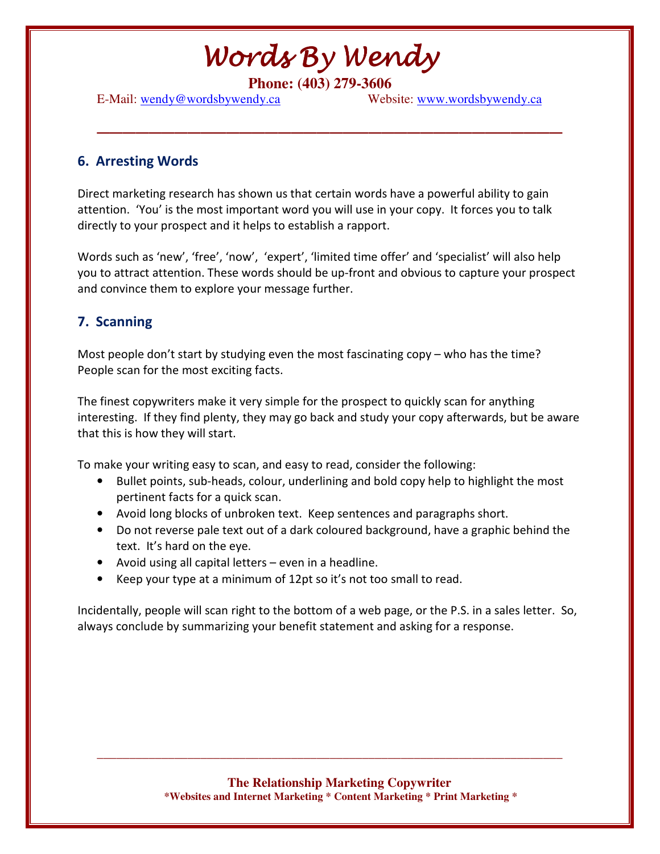**\_\_\_\_\_\_\_\_\_\_\_\_\_\_\_\_\_\_\_\_\_\_\_\_\_\_\_\_\_\_\_\_\_\_\_\_** 

**Phone: (403) 279-3606** 

E-Mail: wendy@wordsbywendy.ca Website: www.wordsbywendy.ca

#### 6. Arresting Words

Direct marketing research has shown us that certain words have a powerful ability to gain attention. 'You' is the most important word you will use in your copy. It forces you to talk directly to your prospect and it helps to establish a rapport.

Words such as 'new', 'free', 'now', 'expert', 'limited time offer' and 'specialist' will also help you to attract attention. These words should be up-front and obvious to capture your prospect and convince them to explore your message further.

#### 7. Scanning

Most people don't start by studying even the most fascinating copy – who has the time? People scan for the most exciting facts.

The finest copywriters make it very simple for the prospect to quickly scan for anything interesting. If they find plenty, they may go back and study your copy afterwards, but be aware that this is how they will start.

To make your writing easy to scan, and easy to read, consider the following:

- Bullet points, sub-heads, colour, underlining and bold copy help to highlight the most pertinent facts for a quick scan.
- Avoid long blocks of unbroken text. Keep sentences and paragraphs short.
- Do not reverse pale text out of a dark coloured background, have a graphic behind the text. It's hard on the eye.
- Avoid using all capital letters even in a headline.
- Keep your type at a minimum of 12pt so it's not too small to read.

Incidentally, people will scan right to the bottom of a web page, or the P.S. in a sales letter. So, always conclude by summarizing your benefit statement and asking for a response.

> **The Relationship Marketing Copywriter \*Websites and Internet Marketing \* Content Marketing \* Print Marketing \***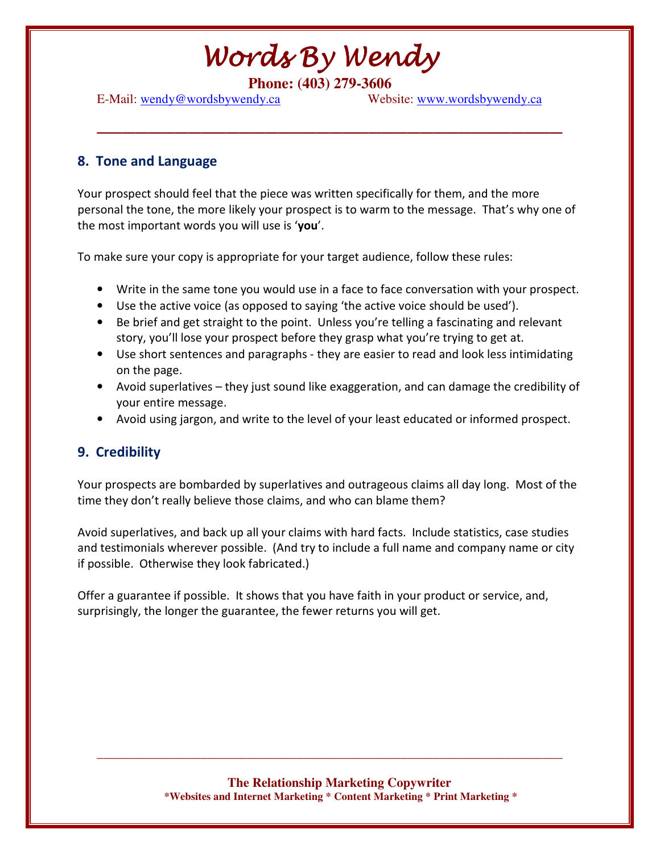**\_\_\_\_\_\_\_\_\_\_\_\_\_\_\_\_\_\_\_\_\_\_\_\_\_\_\_\_\_\_\_\_\_\_\_\_** 

**Phone: (403) 279-3606** 

E-Mail: wendy@wordsbywendy.ca Website: www.wordsbywendy.ca

#### 8. Tone and Language

Your prospect should feel that the piece was written specifically for them, and the more personal the tone, the more likely your prospect is to warm to the message. That's why one of the most important words you will use is 'you'.

To make sure your copy is appropriate for your target audience, follow these rules:

- Write in the same tone you would use in a face to face conversation with your prospect.
- Use the active voice (as opposed to saying 'the active voice should be used').
- Be brief and get straight to the point. Unless you're telling a fascinating and relevant story, you'll lose your prospect before they grasp what you're trying to get at.
- Use short sentences and paragraphs they are easier to read and look less intimidating on the page.
- Avoid superlatives they just sound like exaggeration, and can damage the credibility of your entire message.
- Avoid using jargon, and write to the level of your least educated or informed prospect.

#### 9. Credibility

Your prospects are bombarded by superlatives and outrageous claims all day long. Most of the time they don't really believe those claims, and who can blame them?

Avoid superlatives, and back up all your claims with hard facts. Include statistics, case studies and testimonials wherever possible. (And try to include a full name and company name or city if possible. Otherwise they look fabricated.)

Offer a guarantee if possible. It shows that you have faith in your product or service, and, surprisingly, the longer the guarantee, the fewer returns you will get.